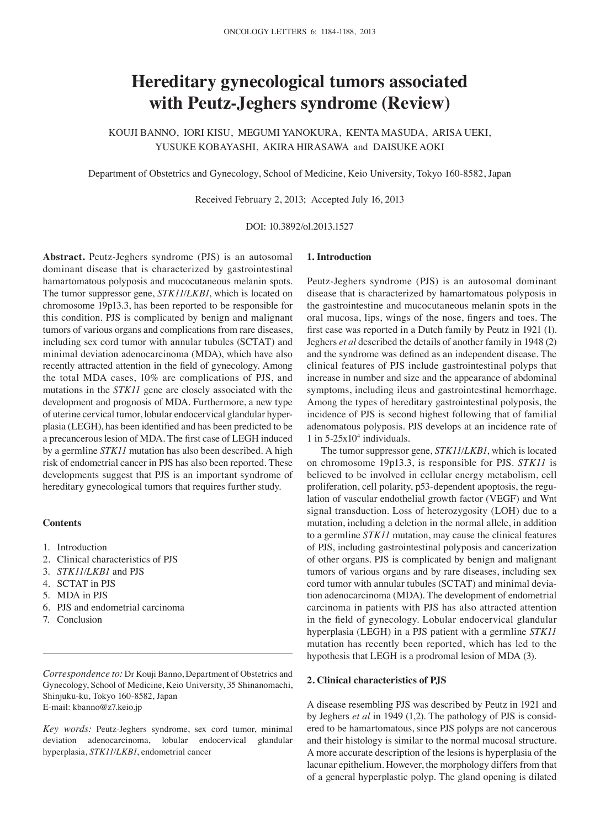# **Hereditary gynecological tumors associated with Peutz‑Jeghers syndrome (Review)**

KOUJI BANNO, IORI KISU, MEGUMI YANOKURA, KENTA MASUDA, ARISA UEKI, YUSUKE KOBAYASHI, AKIRA HIRASAWA and DAISUKE AOKI

Department of Obstetrics and Gynecology, School of Medicine, Keio University, Tokyo 160-8582, Japan

Received February 2, 2013; Accepted July 16, 2013

DOI: 10.3892/ol.2013.1527

**Abstract.** Peutz-Jeghers syndrome (PJS) is an autosomal dominant disease that is characterized by gastrointestinal hamartomatous polyposis and mucocutaneous melanin spots. The tumor suppressor gene, *STK11/LKB1*, which is located on chromosome 19p13.3, has been reported to be responsible for this condition. PJS is complicated by benign and malignant tumors of various organs and complications from rare diseases, including sex cord tumor with annular tubules (SCTAT) and minimal deviation adenocarcinoma (MDA), which have also recently attracted attention in the field of gynecology. Among the total MDA cases, 10% are complications of PJS, and mutations in the *STK11* gene are closely associated with the development and prognosis of MDA. Furthermore, a new type of uterine cervical tumor, lobular endocervical glandular hyperplasia (LEGH), has been identified and has been predicted to be a precancerous lesion of MDA. The first case of LEGH induced by a germline *STK11* mutation has also been described. A high risk of endometrial cancer in PJS has also been reported. These developments suggest that PJS is an important syndrome of hereditary gynecological tumors that requires further study.

## **Contents**

- 1. Introduction
- 2. Clinical characteristics of PJS
- 3. *STK11/LKB1* and PJS
- 4. SCTAT in PJS
- 5. MDA in PJS
- 6. PJS and endometrial carcinoma
- 7. Conclusion

*Correspondence to:* Dr Kouji Banno, Department of Obstetrics and Gynecology, School of Medicine, Keio University, 35 Shinanomachi, Shinjuku-ku, Tokyo 160-8582, Japan E-mail: kbanno@z7.keio.jp

*Key words:* Peutz-Jeghers syndrome, sex cord tumor, minimal deviation adenocarcinoma, lobular endocervical glandular hyperplasia, *STK11/LKB1*, endometrial cancer

# **1. Introduction**

Peutz-Jeghers syndrome (PJS) is an autosomal dominant disease that is characterized by hamartomatous polyposis in the gastrointestine and mucocutaneous melanin spots in the oral mucosa, lips, wings of the nose, fingers and toes. The first case was reported in a Dutch family by Peutz in 1921 (1). Jeghers *et al* described the details of another family in 1948 (2) and the syndrome was defined as an independent disease. The clinical features of PJS include gastrointestinal polyps that increase in number and size and the appearance of abdominal symptoms, including ileus and gastrointestinal hemorrhage. Among the types of hereditary gastrointestinal polyposis, the incidence of PJS is second highest following that of familial adenomatous polyposis. PJS develops at an incidence rate of  $1$  in  $5-25x10^4$  individuals.

The tumor suppressor gene, *STK11/LKB1*, which is located on chromosome 19p13.3, is responsible for PJS. *STK11* is believed to be involved in cellular energy metabolism, cell proliferation, cell polarity, p53-dependent apoptosis, the regulation of vascular endothelial growth factor (VEGF) and Wnt signal transduction. Loss of heterozygosity (LOH) due to a mutation, including a deletion in the normal allele, in addition to a germline *STK11* mutation, may cause the clinical features of PJS, including gastrointestinal polyposis and cancerization of other organs. PJS is complicated by benign and malignant tumors of various organs and by rare diseases, including sex cord tumor with annular tubules (SCTAT) and minimal deviation adenocarcinoma (MDA). The development of endometrial carcinoma in patients with PJS has also attracted attention in the field of gynecology. Lobular endocervical glandular hyperplasia (LEGH) in a PJS patient with a germline *STK11* mutation has recently been reported, which has led to the hypothesis that LEGH is a prodromal lesion of MDA (3).

#### **2. Clinical characteristics of PJS**

A disease resembling PJS was described by Peutz in 1921 and by Jeghers *et al* in 1949 (1,2). The pathology of PJS is considered to be hamartomatous, since PJS polyps are not cancerous and their histology is similar to the normal mucosal structure. A more accurate description of the lesions is hyperplasia of the lacunar epithelium. However, the morphology differs from that of a general hyperplastic polyp. The gland opening is dilated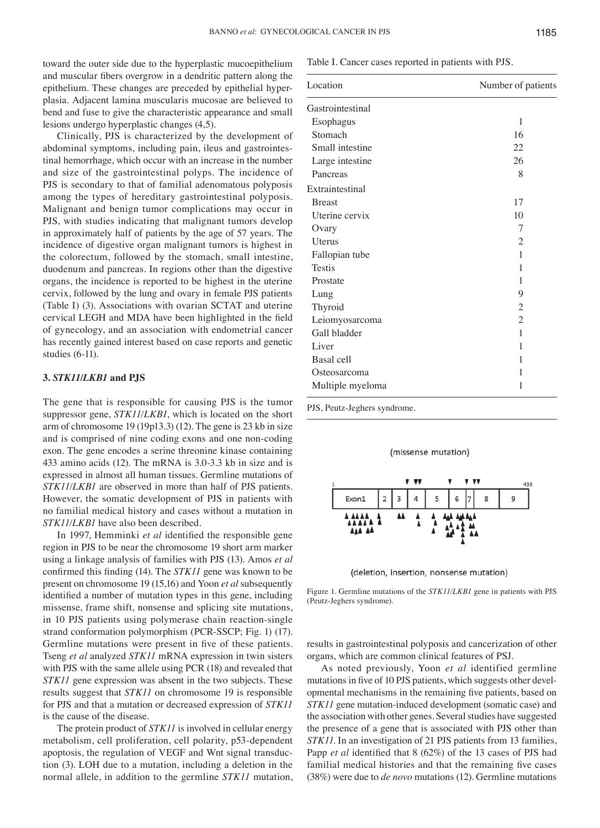toward the outer side due to the hyperplastic mucoepithelium and muscular fibers overgrow in a dendritic pattern along the epithelium. These changes are preceded by epithelial hyperplasia. Adjacent lamina muscularis mucosae are believed to bend and fuse to give the characteristic appearance and small lesions undergo hyperplastic changes (4,5).

Clinically, PJS is characterized by the development of abdominal symptoms, including pain, ileus and gastrointestinal hemorrhage, which occur with an increase in the number and size of the gastrointestinal polyps. The incidence of PJS is secondary to that of familial adenomatous polyposis among the types of hereditary gastrointestinal polyposis. Malignant and benign tumor complications may occur in PJS, with studies indicating that malignant tumors develop in approximately half of patients by the age of 57 years. The incidence of digestive organ malignant tumors is highest in the colorectum, followed by the stomach, small intestine, duodenum and pancreas. In regions other than the digestive organs, the incidence is reported to be highest in the uterine cervix, followed by the lung and ovary in female PJS patients (Table Ⅰ) (3). Associations with ovarian SCTAT and uterine cervical LEGH and MDA have been highlighted in the field of gynecology, and an association with endometrial cancer has recently gained interest based on case reports and genetic studies (6-11).

#### **3.** *STK11/LKB1* **and PJS**

The gene that is responsible for causing PJS is the tumor suppressor gene, *STK11/LKB1*, which is located on the short arm of chromosome 19 (19p13.3) (12). The gene is 23 kb in size and is comprised of nine coding exons and one non-coding exon. The gene encodes a serine threonine kinase containing 433 amino acids (12). The mRNA is 3.0-3.3 kb in size and is expressed in almost all human tissues. Germline mutations of *STK11/LKB1* are observed in more than half of PJS patients. However, the somatic development of PJS in patients with no familial medical history and cases without a mutation in *STK11/LKB1* have also been described.

In 1997, Hemminki *et al* identified the responsible gene region in PJS to be near the chromosome 19 short arm marker using a linkage analysis of families with PJS (13). Amos *et al*  confirmed this finding (14). The *STK11* gene was known to be present on chromosome 19 (15,16) and Yoon *et al* subsequently identified a number of mutation types in this gene, including missense, frame shift, nonsense and splicing site mutations, in 10 PJS patients using polymerase chain reaction-single strand conformation polymorphism (PCR-SSCP; Fig. 1) (17). Germline mutations were present in five of these patients. Tseng *et al* analyzed *STK11* mRNA expression in twin sisters with PJS with the same allele using PCR (18) and revealed that *STK11* gene expression was absent in the two subjects. These results suggest that *STK11* on chromosome 19 is responsible for PJS and that a mutation or decreased expression of *STK11* is the cause of the disease.

The protein product of *STK11* is involved in cellular energy metabolism, cell proliferation, cell polarity, p53-dependent apoptosis, the regulation of VEGF and Wnt signal transduction (3). LOH due to a mutation, including a deletion in the normal allele, in addition to the germline *STK11* mutation, Table I. Cancer cases reported in patients with PJS.

| Location          | Number of patients |
|-------------------|--------------------|
| Gastrointestinal  |                    |
| Esophagus         | 1                  |
| Stomach           | 16                 |
| Small intestine   | 22                 |
| Large intestine   | 26                 |
| Pancreas          | 8                  |
| Extraintestinal   |                    |
| <b>Breast</b>     | 17                 |
| Uterine cervix    | 10                 |
| Ovary             | 7                  |
| Uterus            | $\overline{2}$     |
| Fallopian tube    | 1                  |
| <b>Testis</b>     | 1                  |
| Prostate          | 1                  |
| Lung              | 9                  |
| Thyroid           | $\overline{2}$     |
| Leiomyosarcoma    | $\overline{2}$     |
| Gall bladder      | 1                  |
| Liver             | 1                  |
| <b>Basal</b> cell | 1                  |
| Osteosarcoma      | 1                  |
| Multiple myeloma  | 1                  |

PJS, Peutz-Jeghers syndrome.





(deletion, insertion, nonsense mutation)

Figure 1. Germline mutations of the *STK11/LKB1* gene in patients with PJS (Peutz-Jeghers syndrome).

results in gastrointestinal polyposis and cancerization of other organs, which are common clinical features of PSJ.

As noted previously, Yoon *et al* identified germline mutations in five of 10 PJS patients, which suggests other developmental mechanisms in the remaining five patients, based on *STK11* gene mutation-induced development (somatic case) and the association with other genes. Several studies have suggested the presence of a gene that is associated with PJS other than *STK11*. In an investigation of 21 PJS patients from 13 families, Papp *et al* identified that 8 (62%) of the 13 cases of PJS had familial medical histories and that the remaining five cases (38%) were due to *de novo* mutations (12). Germline mutations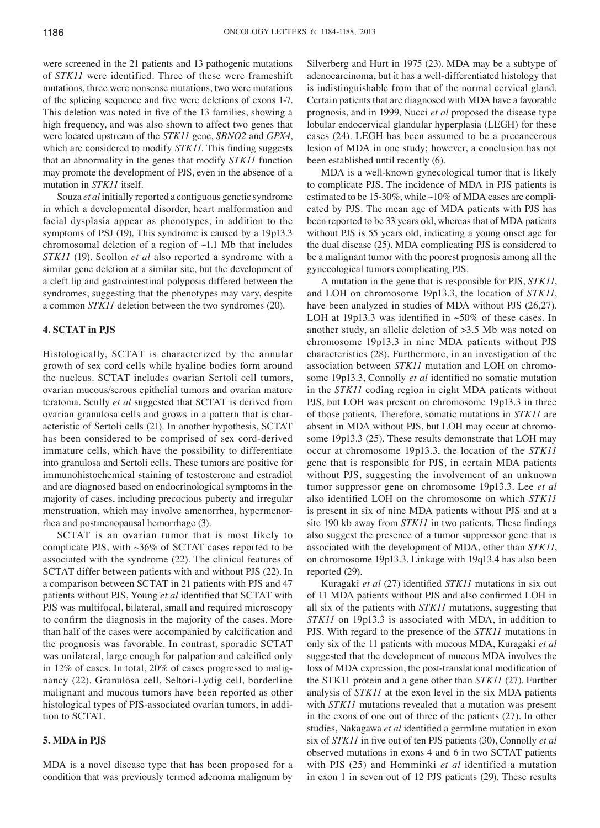were screened in the 21 patients and 13 pathogenic mutations of *STK11* were identified. Three of these were frameshift mutations, three were nonsense mutations, two were mutations of the splicing sequence and five were deletions of exons 1‑7. This deletion was noted in five of the 13 families, showing a high frequency, and was also shown to affect two genes that were located upstream of the *STK11* gene, *SBNO2* and *GPX4*, which are considered to modify *STK11*. This finding suggests that an abnormality in the genes that modify *STK11* function may promote the development of PJS, even in the absence of a mutation in *STK11* itself.

Souza *et al* initially reported a contiguous genetic syndrome in which a developmental disorder, heart malformation and facial dysplasia appear as phenotypes, in addition to the symptoms of PSJ (19). This syndrome is caused by a 19p13.3 chromosomal deletion of a region of  $\sim$ 1.1 Mb that includes *STK11* (19). Scollon *et al* also reported a syndrome with a similar gene deletion at a similar site, but the development of a cleft lip and gastrointestinal polyposis differed between the syndromes, suggesting that the phenotypes may vary, despite a common *STK11* deletion between the two syndromes (20).

## **4. SCTAT in PJS**

Histologically, SCTAT is characterized by the annular growth of sex cord cells while hyaline bodies form around the nucleus. SCTAT includes ovarian Sertoli cell tumors, ovarian mucous/serous epithelial tumors and ovarian mature teratoma. Scully *et al* suggested that SCTAT is derived from ovarian granulosa cells and grows in a pattern that is characteristic of Sertoli cells (21). In another hypothesis, SCTAT has been considered to be comprised of sex cord-derived immature cells, which have the possibility to differentiate into granulosa and Sertoli cells. These tumors are positive for immunohistochemical staining of testosterone and estradiol and are diagnosed based on endocrinological symptoms in the majority of cases, including precocious puberty and irregular menstruation, which may involve amenorrhea, hypermenorrhea and postmenopausal hemorrhage (3).

SCTAT is an ovarian tumor that is most likely to complicate PJS, with ~36% of SCTAT cases reported to be associated with the syndrome (22). The clinical features of SCTAT differ between patients with and without PJS (22). In a comparison between SCTAT in 21 patients with PJS and 47 patients without PJS, Young *et al* identified that SCTAT with PJS was multifocal, bilateral, small and required microscopy to confirm the diagnosis in the majority of the cases. More than half of the cases were accompanied by calcification and the prognosis was favorable. In contrast, sporadic SCTAT was unilateral, large enough for palpation and calcified only in 12% of cases. In total, 20% of cases progressed to malignancy (22). Granulosa cell, Seltori-Lydig cell, borderline malignant and mucous tumors have been reported as other histological types of PJS-associated ovarian tumors, in addition to SCTAT.

## **5. MDA in PJS**

MDA is a novel disease type that has been proposed for a condition that was previously termed adenoma malignum by

Silverberg and Hurt in 1975 (23). MDA may be a subtype of adenocarcinoma, but it has a well-differentiated histology that is indistinguishable from that of the normal cervical gland. Certain patients that are diagnosed with MDA have a favorable prognosis, and in 1999, Nucci *et al* proposed the disease type lobular endocervical glandular hyperplasia (LEGH) for these cases (24). LEGH has been assumed to be a precancerous lesion of MDA in one study; however, a conclusion has not been established until recently (6).

MDA is a well-known gynecological tumor that is likely to complicate PJS. The incidence of MDA in PJS patients is estimated to be 15-30%, while ~10% of MDA cases are complicated by PJS. The mean age of MDA patients with PJS has been reported to be 33 years old, whereas that of MDA patients without PJS is 55 years old, indicating a young onset age for the dual disease (25). MDA complicating PJS is considered to be a malignant tumor with the poorest prognosis among all the gynecological tumors complicating PJS.

A mutation in the gene that is responsible for PJS, *STK11*, and LOH on chromosome 19p13.3, the location of *STK11*, have been analyzed in studies of MDA without PJS (26,27). LOH at 19p13.3 was identified in  $~50\%$  of these cases. In another study, an allelic deletion of >3.5 Mb was noted on chromosome 19p13.3 in nine MDA patients without PJS characteristics (28). Furthermore, in an investigation of the association between *STK11* mutation and LOH on chromosome 19p13.3, Connolly *et al* identified no somatic mutation in the *STK11* coding region in eight MDA patients without PJS, but LOH was present on chromosome 19p13.3 in three of those patients. Therefore, somatic mutations in *STK11* are absent in MDA without PJS, but LOH may occur at chromosome 19p13.3 (25). These results demonstrate that LOH may occur at chromosome 19p13.3, the location of the *STK11* gene that is responsible for PJS, in certain MDA patients without PJS, suggesting the involvement of an unknown tumor suppressor gene on chromosome 19p13.3. Lee *et al* also identified LOH on the chromosome on which *STK11* is present in six of nine MDA patients without PJS and at a site 190 kb away from *STK11* in two patients. These findings also suggest the presence of a tumor suppressor gene that is associated with the development of MDA, other than *STK11*, on chromosome 19p13.3. Linkage with 19q13.4 has also been reported (29).

Kuragaki *et al* (27) identified *STK11* mutations in six out of 11 MDA patients without PJS and also confirmed LOH in all six of the patients with *STK11* mutations, suggesting that *STK11* on 19p13.3 is associated with MDA, in addition to PJS. With regard to the presence of the *STK11* mutations in only six of the 11 patients with mucous MDA, Kuragaki *et al* suggested that the development of mucous MDA involves the loss of MDA expression, the post-translational modification of the STK11 protein and a gene other than *STK11* (27). Further analysis of *STK11* at the exon level in the six MDA patients with *STK11* mutations revealed that a mutation was present in the exons of one out of three of the patients (27). In other studies, Nakagawa *et al* identified a germline mutation in exon six of *STK11* in five out of ten PJS patients (30), Connolly *et al* observed mutations in exons 4 and 6 in two SCTAT patients with PJS (25) and Hemminki *et al* identified a mutation in exon 1 in seven out of 12 PJS patients (29). These results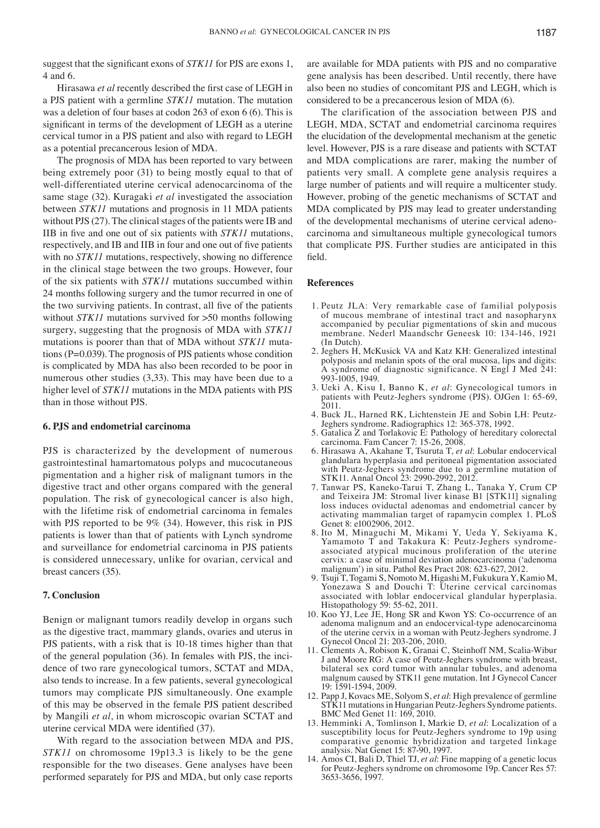suggest that the significant exons of *STK11* for PJS are exons 1, 4 and 6.

Hirasawa *et al* recently described the first case of LEGH in a PJS patient with a germline *STK11* mutation. The mutation was a deletion of four bases at codon 263 of exon 6 (6). This is significant in terms of the development of LEGH as a uterine cervical tumor in a PJS patient and also with regard to LEGH as a potential precancerous lesion of MDA.

The prognosis of MDA has been reported to vary between being extremely poor (31) to being mostly equal to that of well-differentiated uterine cervical adenocarcinoma of the same stage (32). Kuragaki *et al* investigated the association between *STK11* mutations and prognosis in 11 MDA patients without PJS (27). The clinical stages of the patients were IB and IIB in five and one out of six patients with *STK11* mutations, respectively, and IB and IIB in four and one out of five patients with no *STK11* mutations, respectively, showing no difference in the clinical stage between the two groups. However, four of the six patients with *STK11* mutations succumbed within 24 months following surgery and the tumor recurred in one of the two surviving patients. In contrast, all five of the patients without *STK11* mutations survived for  $>50$  months following surgery, suggesting that the prognosis of MDA with *STK11* mutations is poorer than that of MDA without *STK11* mutations (P=0.039). The prognosis of PJS patients whose condition is complicated by MDA has also been recorded to be poor in numerous other studies (3,33). This may have been due to a higher level of *STK11* mutations in the MDA patients with PJS than in those without PJS.

#### **6. PJS and endometrial carcinoma**

PJS is characterized by the development of numerous gastrointestinal hamartomatous polyps and mucocutaneous pigmentation and a higher risk of malignant tumors in the digestive tract and other organs compared with the general population. The risk of gynecological cancer is also high, with the lifetime risk of endometrial carcinoma in females with PJS reported to be 9% (34). However, this risk in PJS patients is lower than that of patients with Lynch syndrome and surveillance for endometrial carcinoma in PJS patients is considered unnecessary, unlike for ovarian, cervical and breast cancers (35).

#### **7. Conclusion**

Benign or malignant tumors readily develop in organs such as the digestive tract, mammary glands, ovaries and uterus in PJS patients, with a risk that is 10-18 times higher than that of the general population (36). In females with PJS, the incidence of two rare gynecological tumors, SCTAT and MDA, also tends to increase. In a few patients, several gynecological tumors may complicate PJS simultaneously. One example of this may be observed in the female PJS patient described by Mangili *et al*, in whom microscopic ovarian SCTAT and uterine cervical MDA were identified (37).

With regard to the association between MDA and PJS, *STK11* on chromosome 19p13.3 is likely to be the gene responsible for the two diseases. Gene analyses have been performed separately for PJS and MDA, but only case reports are available for MDA patients with PJS and no comparative gene analysis has been described. Until recently, there have also been no studies of concomitant PJS and LEGH, which is considered to be a precancerous lesion of MDA (6).

The clarification of the association between PJS and LEGH, MDA, SCTAT and endometrial carcinoma requires the elucidation of the developmental mechanism at the genetic level. However, PJS is a rare disease and patients with SCTAT and MDA complications are rarer, making the number of patients very small. A complete gene analysis requires a large number of patients and will require a multicenter study. However, probing of the genetic mechanisms of SCTAT and MDA complicated by PJS may lead to greater understanding of the developmental mechanisms of uterine cervical adenocarcinoma and simultaneous multiple gynecological tumors that complicate PJS. Further studies are anticipated in this field.

#### **References**

- 1. Peutz JLA: Very remarkable case of familial polyposis of mucous membrane of intestinal tract and nasopharynx accompanied by peculiar pigmentations of skin and mucous membrane. Nederl Maandschr Geneesk 10: 134-146, 1921
- 2. Jeghers H, McKusick VA and Katz KH: Generalized intestinal polyposis and melanin spots of the oral mucosa, lips and digits: A syndrome of diagnostic significance. N Engl J Med 241: 993-1005, 1949.
- 3. Ueki A, Kisu I, Banno K, *et al*: Gynecological tumors in patients with Peutz-Jeghers syndrome (PJS). OJGen 1: 65-69, 2011.
- 4. Buck JL, Harned RK, Lichtenstein JE and Sobin LH: Peutz-Jeghers syndrome. Radiographics 12: 365-378, 1992.
- 5. Gatalica Z and Torlakovic E: Pathology of hereditary colorectal carcinoma. Fam Cancer 7: 15-26, 2008.
- 6. Hirasawa A, Akahane T, Tsuruta T, *et al*: Lobular endocervical glandulara hyperplasia and peritoneal pigmentation associated with Peutz-Jeghers syndrome due to a germline mutation of STK11. Annal Oncol 23: 2990-2992, 2012.
- 7. Tanwar PS, Kaneko-Tarui T, Zhang L, Tanaka Y, Crum CP and Teixeira JM: Stromal liver kinase B1 [STK11] signaling loss induces oviductal adenomas and endometrial cancer by activating mammalian target of rapamycin complex 1. PLoS Genet 8: e1002906, 2012.
- 8. Ito M, Minaguchi M, Mikami Y, Ueda Y, Sekiyama K, Yamamoto T and Takakura K: Peutz-Jeghers syndromeassociated atypical mucinous proliferation of the uterine cervix: a case of minimal deviation adenocarcinoma ('adenoma malignum') in situ. Pathol Res Pract 208: 623-627, 2012.
- 9. Tsuji T, Togami S, Nomoto M, Higashi M, Fukukura Y, Kamio M, Yonezawa S and Douchi T: Uterine cervical carcinomas associated with loblar endocervical glandular hyperplasia. Histopathology 59: 55-62, 2011.
- 10. Koo YJ, Lee JE, Hong SR and Kwon YS: Co-occurrence of an adenoma malignum and an endocervical-type adenocarcinoma of the uterine cervix in a woman with Peutz-Jeghers syndrome. J Gynecol Oncol 21: 203-206, 2010.
- 11. Clements A, Robison K, Granai C, Steinhoff NM, Scalia-Wibur J and Moore RG: A case of Peutz-Jeghers syndrome with breast, bilateral sex cord tumor with annular tubules, and adenoma malgnum caused by STK11 gene mutation. Int J Gynecol Cancer 19: 1591-1594, 2009.
- 12. Papp J, Kovacs ME, Solyom S, *et al*: High prevalence of germline STK11 mutations in Hungarian Peutz-Jeghers Syndrome patients. BMC Med Genet 11: 169, 2010.
- 13. Hemminki A, Tomlinson I, Markie D, *et al*: Localization of a susceptibility locus for Peutz-Jeghers syndrome to 19p using comparative genomic hybridization and targeted linkage analysis. Nat Genet 15: 87-90, 1997.
- 14. Amos CI, Bali D, Thiel TJ, *et al*: Fine mapping of a genetic locus for Peutz-Jeghers syndrome on chromosome 19p. Cancer Res 57: 3653-3656, 1997.